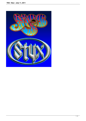